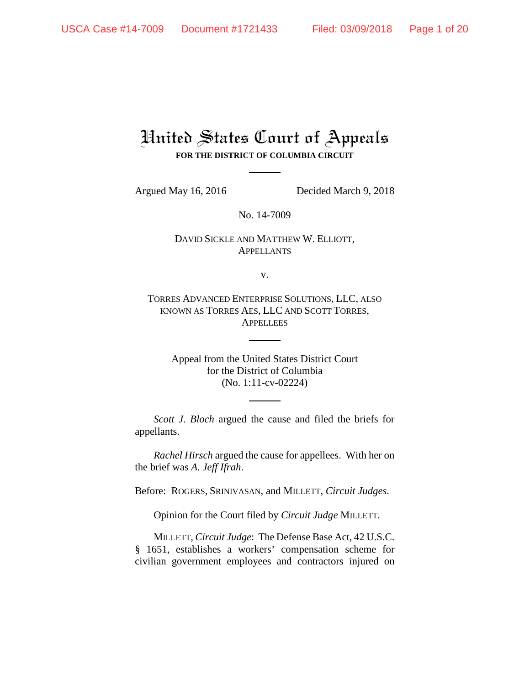# United States Court of Appeals **FOR THE DISTRICT OF COLUMBIA CIRCUIT**

Argued May 16, 2016 Decided March 9, 2018

No. 14-7009

# DAVID SICKLE AND MATTHEW W. ELLIOTT, **APPELLANTS**

v.

TORRES ADVANCED ENTERPRISE SOLUTIONS, LLC, ALSO KNOWN AS TORRES AES, LLC AND SCOTT TORRES, **APPELLEES** 

> Appeal from the United States District Court for the District of Columbia (No. 1:11-cv-02224)

*Scott J. Bloch* argued the cause and filed the briefs for appellants.

*Rachel Hirsch* argued the cause for appellees. With her on the brief was *A. Jeff Ifrah*.

Before: ROGERS, SRINIVASAN, and MILLETT, *Circuit Judges*.

Opinion for the Court filed by *Circuit Judge* MILLETT.

MILLETT, *Circuit Judge*: The Defense Base Act, 42 U.S.C. § 1651, establishes a workers' compensation scheme for civilian government employees and contractors injured on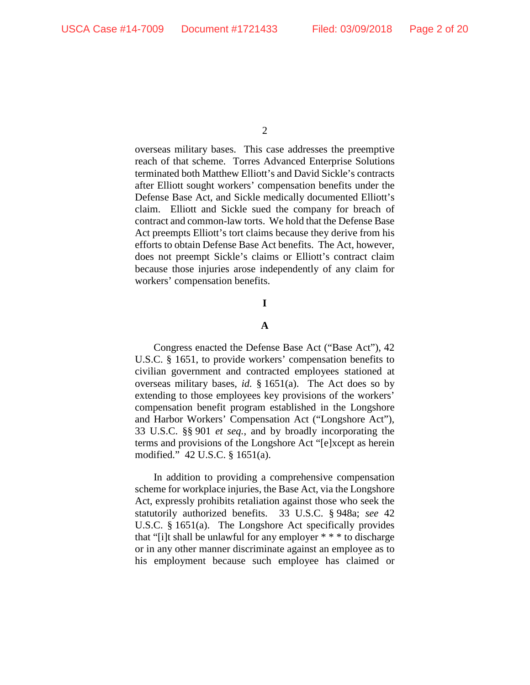overseas military bases. This case addresses the preemptive reach of that scheme. Torres Advanced Enterprise Solutions terminated both Matthew Elliott's and David Sickle's contracts after Elliott sought workers' compensation benefits under the Defense Base Act, and Sickle medically documented Elliott's claim. Elliott and Sickle sued the company for breach of contract and common-law torts. We hold that the Defense Base Act preempts Elliott's tort claims because they derive from his efforts to obtain Defense Base Act benefits. The Act, however, does not preempt Sickle's claims or Elliott's contract claim because those injuries arose independently of any claim for workers' compensation benefits.

**I**

## **A**

Congress enacted the Defense Base Act ("Base Act"), 42 U.S.C. § 1651, to provide workers' compensation benefits to civilian government and contracted employees stationed at overseas military bases, *id.* § 1651(a). The Act does so by extending to those employees key provisions of the workers' compensation benefit program established in the Longshore and Harbor Workers' Compensation Act ("Longshore Act"), 33 U.S.C. §§ 901 *et seq.*, and by broadly incorporating the terms and provisions of the Longshore Act "[e]xcept as herein modified." 42 U.S.C. § 1651(a).

In addition to providing a comprehensive compensation scheme for workplace injuries, the Base Act, via the Longshore Act, expressly prohibits retaliation against those who seek the statutorily authorized benefits. 33 U.S.C. § 948a; *see* 42 U.S.C. § 1651(a). The Longshore Act specifically provides that "[i]t shall be unlawful for any employer \* \* \* to discharge or in any other manner discriminate against an employee as to his employment because such employee has claimed or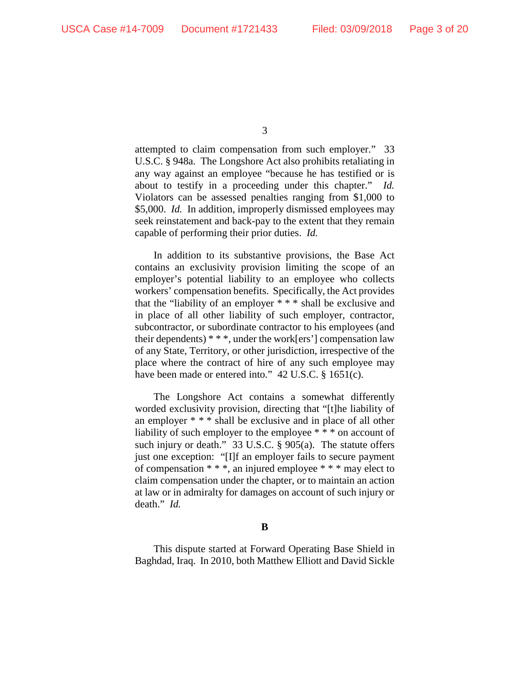attempted to claim compensation from such employer." 33 U.S.C. § 948a. The Longshore Act also prohibits retaliating in any way against an employee "because he has testified or is about to testify in a proceeding under this chapter." *Id.* Violators can be assessed penalties ranging from \$1,000 to \$5,000. *Id.* In addition, improperly dismissed employees may seek reinstatement and back-pay to the extent that they remain capable of performing their prior duties. *Id.*

In addition to its substantive provisions, the Base Act contains an exclusivity provision limiting the scope of an employer's potential liability to an employee who collects workers' compensation benefits. Specifically, the Act provides that the "liability of an employer \* \* \* shall be exclusive and in place of all other liability of such employer, contractor, subcontractor, or subordinate contractor to his employees (and their dependents)  $***$ , under the work[ers'] compensation law of any State, Territory, or other jurisdiction, irrespective of the place where the contract of hire of any such employee may have been made or entered into." 42 U.S.C. § 1651(c).

The Longshore Act contains a somewhat differently worded exclusivity provision, directing that "[t]he liability of an employer \* \* \* shall be exclusive and in place of all other liability of such employer to the employee  $**$  on account of such injury or death." 33 U.S.C. § 905(a). The statute offers just one exception: "[I]f an employer fails to secure payment of compensation \* \* \*, an injured employee \* \* \* may elect to claim compensation under the chapter, or to maintain an action at law or in admiralty for damages on account of such injury or death." *Id.*

## **B**

This dispute started at Forward Operating Base Shield in Baghdad, Iraq. In 2010, both Matthew Elliott and David Sickle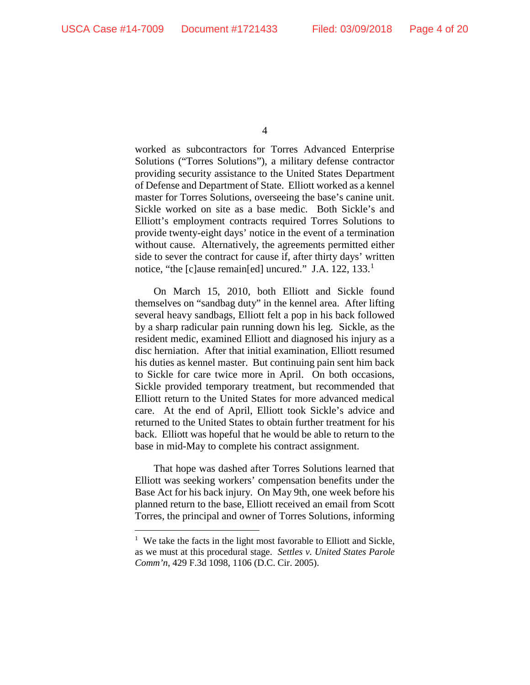worked as subcontractors for Torres Advanced Enterprise Solutions ("Torres Solutions"), a military defense contractor providing security assistance to the United States Department of Defense and Department of State. Elliott worked as a kennel master for Torres Solutions, overseeing the base's canine unit. Sickle worked on site as a base medic. Both Sickle's and Elliott's employment contracts required Torres Solutions to provide twenty-eight days' notice in the event of a termination without cause. Alternatively, the agreements permitted either side to sever the contract for cause if, after thirty days' written notice, "the [c]ause remain[ed] uncured." J.A. [1](#page-3-0)22, 133.<sup>1</sup>

On March 15, 2010, both Elliott and Sickle found themselves on "sandbag duty" in the kennel area. After lifting several heavy sandbags, Elliott felt a pop in his back followed by a sharp radicular pain running down his leg. Sickle, as the resident medic, examined Elliott and diagnosed his injury as a disc herniation. After that initial examination, Elliott resumed his duties as kennel master. But continuing pain sent him back to Sickle for care twice more in April. On both occasions, Sickle provided temporary treatment, but recommended that Elliott return to the United States for more advanced medical care. At the end of April, Elliott took Sickle's advice and returned to the United States to obtain further treatment for his back. Elliott was hopeful that he would be able to return to the base in mid-May to complete his contract assignment.

That hope was dashed after Torres Solutions learned that Elliott was seeking workers' compensation benefits under the Base Act for his back injury. On May 9th, one week before his planned return to the base, Elliott received an email from Scott Torres, the principal and owner of Torres Solutions, informing

<span id="page-3-0"></span><sup>&</sup>lt;sup>1</sup> We take the facts in the light most favorable to Elliott and Sickle, as we must at this procedural stage. *Settles v. United States Parole Comm'n*, 429 F.3d 1098, 1106 (D.C. Cir. 2005).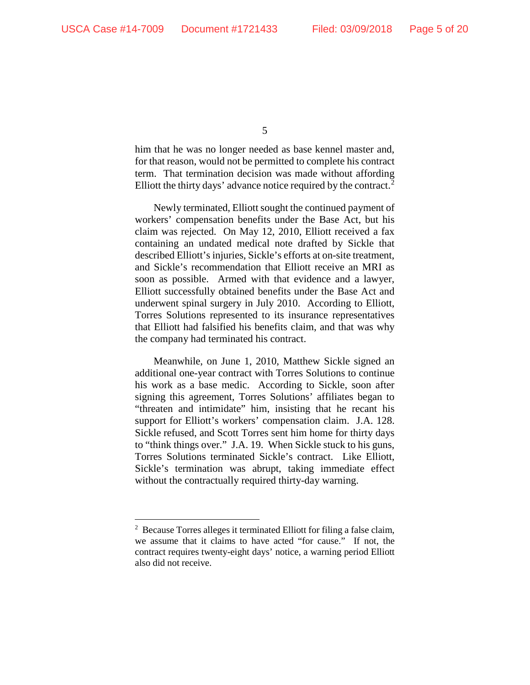him that he was no longer needed as base kennel master and, for that reason, would not be permitted to complete his contract term. That termination decision was made without affording Elliott the thirty days' advance notice required by the contract.<sup>[2](#page-4-0)</sup>

Newly terminated, Elliott sought the continued payment of workers' compensation benefits under the Base Act, but his claim was rejected. On May 12, 2010, Elliott received a fax containing an undated medical note drafted by Sickle that described Elliott's injuries, Sickle's efforts at on-site treatment, and Sickle's recommendation that Elliott receive an MRI as soon as possible. Armed with that evidence and a lawyer, Elliott successfully obtained benefits under the Base Act and underwent spinal surgery in July 2010. According to Elliott, Torres Solutions represented to its insurance representatives that Elliott had falsified his benefits claim, and that was why the company had terminated his contract.

Meanwhile, on June 1, 2010, Matthew Sickle signed an additional one-year contract with Torres Solutions to continue his work as a base medic. According to Sickle, soon after signing this agreement, Torres Solutions' affiliates began to "threaten and intimidate" him, insisting that he recant his support for Elliott's workers' compensation claim. J.A. 128. Sickle refused, and Scott Torres sent him home for thirty days to "think things over." J.A. 19. When Sickle stuck to his guns, Torres Solutions terminated Sickle's contract. Like Elliott, Sickle's termination was abrupt, taking immediate effect without the contractually required thirty-day warning.

<span id="page-4-0"></span><sup>&</sup>lt;sup>2</sup> Because Torres alleges it terminated Elliott for filing a false claim, we assume that it claims to have acted "for cause." If not, the contract requires twenty-eight days' notice, a warning period Elliott also did not receive.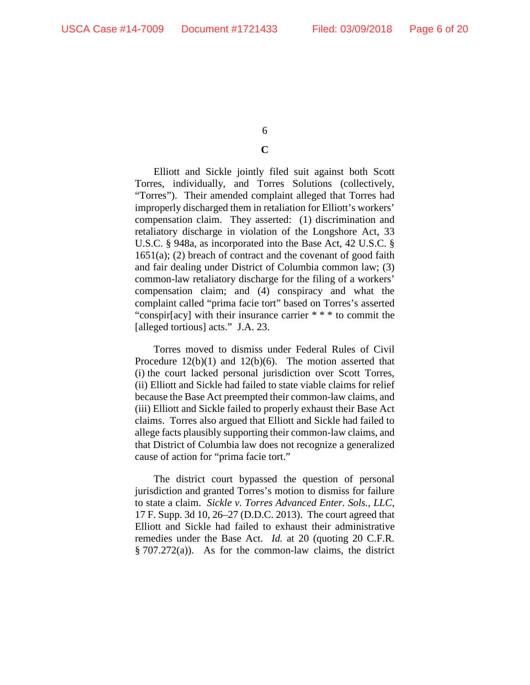# **C**

Elliott and Sickle jointly filed suit against both Scott Torres, individually, and Torres Solutions (collectively, "Torres"). Their amended complaint alleged that Torres had improperly discharged them in retaliation for Elliott's workers' compensation claim. They asserted: (1) discrimination and retaliatory discharge in violation of the Longshore Act, 33 U.S.C. § 948a, as incorporated into the Base Act, 42 U.S.C. §  $1651(a)$ ; (2) breach of contract and the covenant of good faith and fair dealing under District of Columbia common law; (3) common-law retaliatory discharge for the filing of a workers' compensation claim; and (4) conspiracy and what the complaint called "prima facie tort" based on Torres's asserted "conspir[acy] with their insurance carrier \* \* \* to commit the [alleged tortious] acts." J.A. 23.

Torres moved to dismiss under Federal Rules of Civil Procedure 12(b)(1) and 12(b)(6). The motion asserted that (i) the court lacked personal jurisdiction over Scott Torres, (ii) Elliott and Sickle had failed to state viable claims for relief because the Base Act preempted their common-law claims, and (iii) Elliott and Sickle failed to properly exhaust their Base Act claims. Torres also argued that Elliott and Sickle had failed to allege facts plausibly supporting their common-law claims, and that District of Columbia law does not recognize a generalized cause of action for "prima facie tort."

The district court bypassed the question of personal jurisdiction and granted Torres's motion to dismiss for failure to state a claim. *Sickle v. Torres Advanced Enter. Sols., LLC*, 17 F. Supp. 3d 10, 26–27 (D.D.C. 2013). The court agreed that Elliott and Sickle had failed to exhaust their administrative remedies under the Base Act. *Id.* at 20 (quoting 20 C.F.R. § 707.272(a)). As for the common-law claims, the district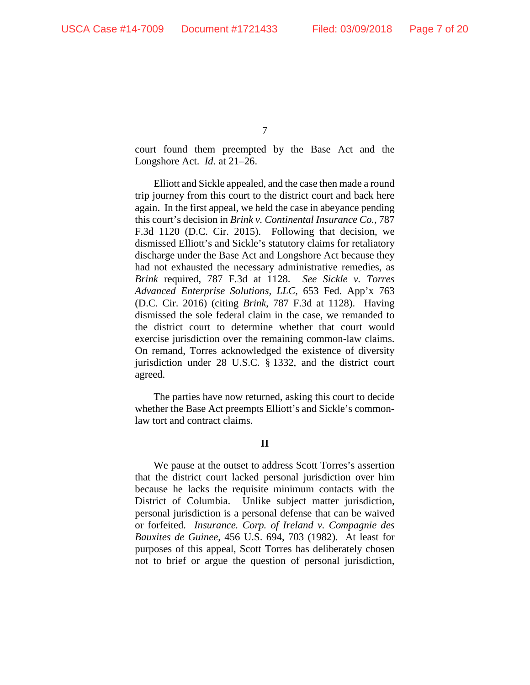court found them preempted by the Base Act and the Longshore Act. *Id.* at 21–26.

Elliott and Sickle appealed, and the case then made a round trip journey from this court to the district court and back here again. In the first appeal, we held the case in abeyance pending this court's decision in *Brink v. Continental Insurance Co.*, 787 F.3d 1120 (D.C. Cir. 2015). Following that decision, we dismissed Elliott's and Sickle's statutory claims for retaliatory discharge under the Base Act and Longshore Act because they had not exhausted the necessary administrative remedies, as *Brink* required, 787 F.3d at 1128. *See Sickle v. Torres Advanced Enterprise Solutions, LLC,* 653 Fed. App'x 763 (D.C. Cir. 2016) (citing *Brink*, 787 F.3d at 1128). Having dismissed the sole federal claim in the case, we remanded to the district court to determine whether that court would exercise jurisdiction over the remaining common-law claims. On remand, Torres acknowledged the existence of diversity jurisdiction under 28 U.S.C. § 1332, and the district court agreed.

The parties have now returned, asking this court to decide whether the Base Act preempts Elliott's and Sickle's commonlaw tort and contract claims.

# **II**

We pause at the outset to address Scott Torres's assertion that the district court lacked personal jurisdiction over him because he lacks the requisite minimum contacts with the District of Columbia. Unlike subject matter jurisdiction, personal jurisdiction is a personal defense that can be waived or forfeited. *Insurance. Corp. of Ireland v. Compagnie des Bauxites de Guinee*, 456 U.S. 694, 703 (1982). At least for purposes of this appeal, Scott Torres has deliberately chosen not to brief or argue the question of personal jurisdiction,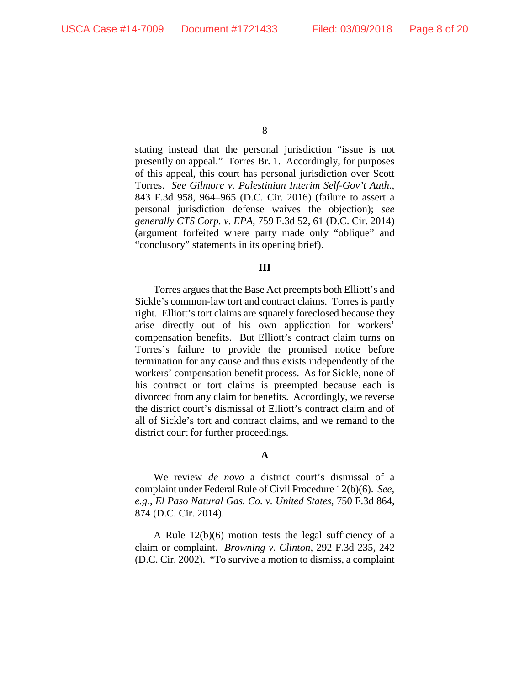stating instead that the personal jurisdiction "issue is not presently on appeal." Torres Br. 1. Accordingly, for purposes of this appeal, this court has personal jurisdiction over Scott Torres. *See Gilmore v. Palestinian Interim Self-Gov't Auth.,*  843 F.3d 958, 964–965 (D.C. Cir. 2016) (failure to assert a personal jurisdiction defense waives the objection); *see generally CTS Corp. v. EPA*, 759 F.3d 52, 61 (D.C. Cir. 2014) (argument forfeited where party made only "oblique" and "conclusory" statements in its opening brief).

#### **III**

Torres argues that the Base Act preempts both Elliott's and Sickle's common-law tort and contract claims. Torres is partly right. Elliott's tort claims are squarely foreclosed because they arise directly out of his own application for workers' compensation benefits. But Elliott's contract claim turns on Torres's failure to provide the promised notice before termination for any cause and thus exists independently of the workers' compensation benefit process. As for Sickle, none of his contract or tort claims is preempted because each is divorced from any claim for benefits. Accordingly, we reverse the district court's dismissal of Elliott's contract claim and of all of Sickle's tort and contract claims, and we remand to the district court for further proceedings.

## **A**

We review *de novo* a district court's dismissal of a complaint under Federal Rule of Civil Procedure 12(b)(6). *See, e.g.*, *El Paso Natural Gas. Co. v. United States*, 750 F.3d 864, 874 (D.C. Cir. 2014).

A Rule 12(b)(6) motion tests the legal sufficiency of a claim or complaint. *Browning v. Clinton*, 292 F.3d 235, 242 (D.C. Cir. 2002). "To survive a motion to dismiss, a complaint

<sup>8</sup>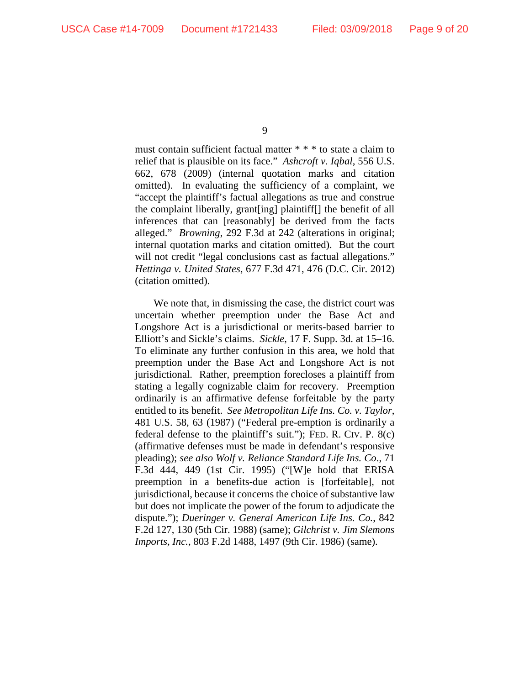must contain sufficient factual matter \* \* \* to state a claim to relief that is plausible on its face." *Ashcroft v. Iqbal*, 556 U.S. 662, 678 (2009) (internal quotation marks and citation omitted). In evaluating the sufficiency of a complaint, we "accept the plaintiff's factual allegations as true and construe the complaint liberally, grant[ing] plaintiff[] the benefit of all inferences that can [reasonably] be derived from the facts alleged." *Browning*, 292 F.3d at 242 (alterations in original; internal quotation marks and citation omitted). But the court will not credit "legal conclusions cast as factual allegations." *Hettinga v. United States*, 677 F.3d 471, 476 (D.C. Cir. 2012) (citation omitted).

We note that, in dismissing the case, the district court was uncertain whether preemption under the Base Act and Longshore Act is a jurisdictional or merits-based barrier to Elliott's and Sickle's claims. *Sickle*, 17 F. Supp. 3d. at 15–16. To eliminate any further confusion in this area, we hold that preemption under the Base Act and Longshore Act is not jurisdictional. Rather, preemption forecloses a plaintiff from stating a legally cognizable claim for recovery. Preemption ordinarily is an affirmative defense forfeitable by the party entitled to its benefit. *See Metropolitan Life Ins. Co. v. Taylor*, 481 U.S. 58, 63 (1987) ("Federal pre-emption is ordinarily a federal defense to the plaintiff's suit."); FED. R. CIV. P. 8(c) (affirmative defenses must be made in defendant's responsive pleading); *see also Wolf v. Reliance Standard Life Ins. Co*., 71 F.3d 444, 449 (1st Cir. 1995) ("[W]e hold that ERISA preemption in a benefits-due action is [forfeitable], not jurisdictional, because it concerns the choice of substantive law but does not implicate the power of the forum to adjudicate the dispute."); *Dueringer v. General American Life Ins. Co.*, 842 F.2d 127, 130 (5th Cir. 1988) (same); *Gilchrist v. Jim Slemons Imports, Inc.*, 803 F.2d 1488, 1497 (9th Cir. 1986) (same).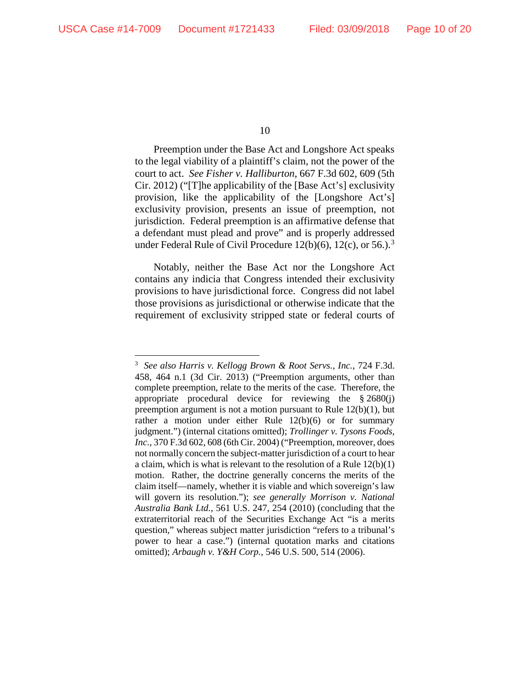Preemption under the Base Act and Longshore Act speaks to the legal viability of a plaintiff's claim, not the power of the court to act. *See Fisher v. Halliburton*, 667 F.3d 602, 609 (5th Cir. 2012) ("[T]he applicability of the [Base Act's] exclusivity provision, like the applicability of the [Longshore Act's] exclusivity provision, presents an issue of preemption, not jurisdiction. Federal preemption is an affirmative defense that a defendant must plead and prove" and is properly addressed under Federal Rule of Civil Procedure  $12(b)(6)$ ,  $12(c)$ , or  $56$ .).<sup>[3](#page-9-0)</sup>

Notably, neither the Base Act nor the Longshore Act contains any indicia that Congress intended their exclusivity provisions to have jurisdictional force. Congress did not label those provisions as jurisdictional or otherwise indicate that the requirement of exclusivity stripped state or federal courts of

<span id="page-9-0"></span> <sup>3</sup> *See also Harris v. Kellogg Brown & Root Servs., Inc.*, 724 F.3d. 458, 464 n.1 (3d Cir. 2013) ("Preemption arguments, other than complete preemption, relate to the merits of the case. Therefore, the appropriate procedural device for reviewing the § 2680(j) preemption argument is not a motion pursuant to Rule 12(b)(1), but rather a motion under either Rule 12(b)(6) or for summary judgment.") (internal citations omitted); *Trollinger v. Tysons Foods, Inc.*, 370 F.3d 602, 608 (6th Cir. 2004) ("Preemption, moreover, does not normally concern the subject-matter jurisdiction of a court to hear a claim, which is what is relevant to the resolution of a Rule 12(b)(1) motion. Rather, the doctrine generally concerns the merits of the claim itself—namely, whether it is viable and which sovereign's law will govern its resolution."); *see generally Morrison v. National Australia Bank Ltd.*, 561 U.S. 247, 254 (2010) (concluding that the extraterritorial reach of the Securities Exchange Act "is a merits question," whereas subject matter jurisdiction "refers to a tribunal's power to hear a case.") (internal quotation marks and citations omitted); *Arbaugh v. Y&H Corp.*, 546 U.S. 500, 514 (2006).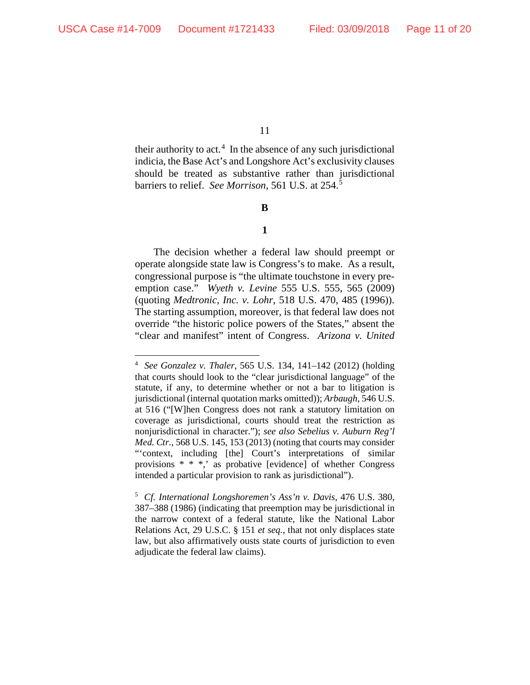their authority to  $act<sup>4</sup>$  $act<sup>4</sup>$  $act<sup>4</sup>$ . In the absence of any such jurisdictional indicia, the Base Act's and Longshore Act's exclusivity clauses should be treated as substantive rather than jurisdictional barriers to relief. *See Morrison*, 561 U.S. at 254.[5](#page-10-1)

**B**

**1**

The decision whether a federal law should preempt or operate alongside state law is Congress's to make. As a result, congressional purpose is "the ultimate touchstone in every preemption case." *Wyeth v. Levine* 555 U.S. 555, 565 (2009) (quoting *Medtronic, Inc. v. Lohr*, 518 U.S. 470, 485 (1996)). The starting assumption, moreover, is that federal law does not override "the historic police powers of the States," absent the "clear and manifest" intent of Congress. *Arizona v. United* 

<span id="page-10-0"></span> <sup>4</sup> *See Gonzalez v. Thaler*, 565 U.S. 134, 141–142 (2012) (holding that courts should look to the "clear jurisdictional language" of the statute, if any, to determine whether or not a bar to litigation is jurisdictional (internal quotation marks omitted)); *Arbaugh*, 546 U.S. at 516 ("[W]hen Congress does not rank a statutory limitation on coverage as jurisdictional, courts should treat the restriction as nonjurisdictional in character."); *see also Sebelius v. Auburn Reg'l Med. Ctr.*, 568 U.S. 145, 153 (2013) (noting that courts may consider "'context, including [the] Court's interpretations of similar provisions \* \* \*,' as probative [evidence] of whether Congress intended a particular provision to rank as jurisdictional").

<span id="page-10-1"></span><sup>5</sup> *Cf. International Longshoremen's Ass'n v. Davis*, 476 U.S. 380, 387–388 (1986) (indicating that preemption may be jurisdictional in the narrow context of a federal statute, like the National Labor Relations Act, 29 U.S.C. § 151 *et seq.*, that not only displaces state law, but also affirmatively ousts state courts of jurisdiction to even adjudicate the federal law claims).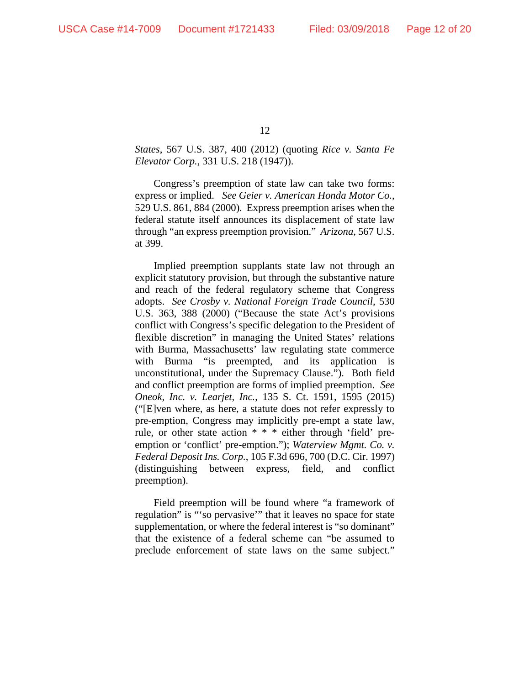*States*, 567 U.S. 387, 400 (2012) (quoting *Rice v. Santa Fe Elevator Corp.*, 331 U.S. 218 (1947)).

Congress's preemption of state law can take two forms: express or implied. *See Geier v. American Honda Motor Co.*, 529 U.S. 861, 884 (2000). Express preemption arises when the federal statute itself announces its displacement of state law through "an express preemption provision." *Arizona*, 567 U.S. at 399.

Implied preemption supplants state law not through an explicit statutory provision, but through the substantive nature and reach of the federal regulatory scheme that Congress adopts. *See Crosby v. National Foreign Trade Council*, 530 U.S. 363, 388 (2000) ("Because the state Act's provisions conflict with Congress's specific delegation to the President of flexible discretion" in managing the United States' relations with Burma, Massachusetts' law regulating state commerce with Burma "is preempted, and its application is unconstitutional, under the Supremacy Clause."). Both field and conflict preemption are forms of implied preemption. *See Oneok, Inc. v. Learjet, Inc.*, 135 S. Ct. 1591, 1595 (2015) ("[E]ven where, as here, a statute does not refer expressly to pre-emption, Congress may implicitly pre-empt a state law, rule, or other state action \* \* \* either through 'field' preemption or 'conflict' pre-emption."); *Waterview Mgmt. Co. v. Federal Deposit Ins. Corp.*, 105 F.3d 696, 700 (D.C. Cir. 1997) (distinguishing between express, field, and conflict preemption).

Field preemption will be found where "a framework of regulation" is "'so pervasive'" that it leaves no space for state supplementation, or where the federal interest is "so dominant" that the existence of a federal scheme can "be assumed to preclude enforcement of state laws on the same subject."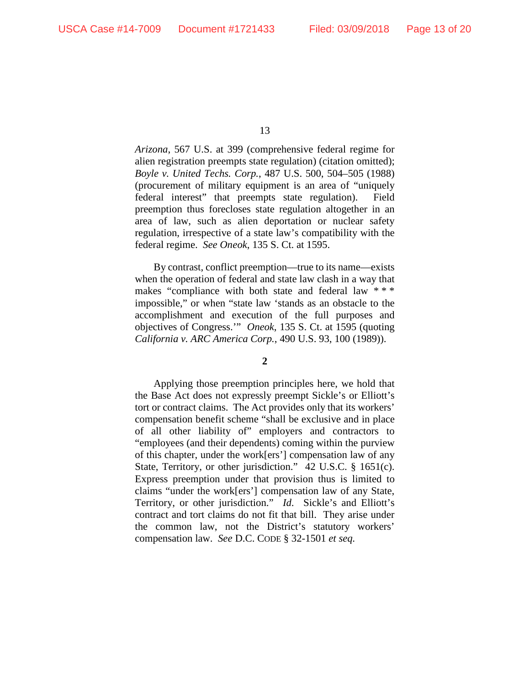*Arizona*, 567 U.S. at 399 (comprehensive federal regime for alien registration preempts state regulation) (citation omitted); *Boyle v. United Techs. Corp.*, 487 U.S. 500, 504–505 (1988) (procurement of military equipment is an area of "uniquely federal interest" that preempts state regulation). Field preemption thus forecloses state regulation altogether in an area of law, such as alien deportation or nuclear safety regulation, irrespective of a state law's compatibility with the federal regime. *See Oneok*, 135 S. Ct. at 1595.

By contrast, conflict preemption—true to its name—exists when the operation of federal and state law clash in a way that makes "compliance with both state and federal law \*\*\* impossible," or when "state law 'stands as an obstacle to the accomplishment and execution of the full purposes and objectives of Congress.'" *Oneok*, 135 S. Ct. at 1595 (quoting *California v. ARC America Corp.*, 490 U.S. 93, 100 (1989)).

## **2**

Applying those preemption principles here, we hold that the Base Act does not expressly preempt Sickle's or Elliott's tort or contract claims. The Act provides only that its workers' compensation benefit scheme "shall be exclusive and in place of all other liability of" employers and contractors to "employees (and their dependents) coming within the purview of this chapter, under the work[ers'] compensation law of any State, Territory, or other jurisdiction." 42 U.S.C. § 1651(c). Express preemption under that provision thus is limited to claims "under the work[ers'] compensation law of any State, Territory, or other jurisdiction." *Id*. Sickle's and Elliott's contract and tort claims do not fit that bill. They arise under the common law, not the District's statutory workers' compensation law. *See* D.C. CODE § 32-1501 *et seq.* 

<sup>13</sup>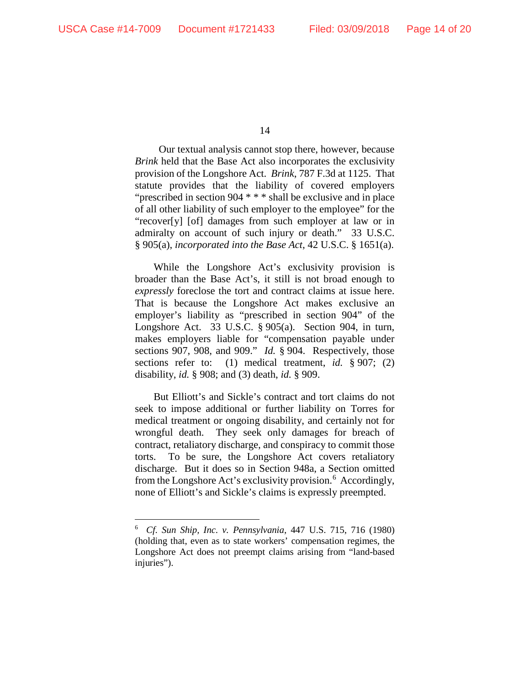Our textual analysis cannot stop there, however, because *Brink* held that the Base Act also incorporates the exclusivity provision of the Longshore Act. *Brink*, 787 F.3d at 1125. That statute provides that the liability of covered employers "prescribed in section 904 \* \* \* shall be exclusive and in place of all other liability of such employer to the employee" for the "recover[y] [of] damages from such employer at law or in admiralty on account of such injury or death." 33 U.S.C. § 905(a), *incorporated into the Base Act*, 42 U.S.C. § 1651(a).

While the Longshore Act's exclusivity provision is broader than the Base Act's, it still is not broad enough to *expressly* foreclose the tort and contract claims at issue here. That is because the Longshore Act makes exclusive an employer's liability as "prescribed in section 904" of the Longshore Act. 33 U.S.C. § 905(a). Section 904, in turn, makes employers liable for "compensation payable under sections 907, 908, and 909." *Id.* § 904. Respectively, those sections refer to: (1) medical treatment, *id.* § 907; (2) disability, *id.* § 908; and (3) death, *id.* § 909.

But Elliott's and Sickle's contract and tort claims do not seek to impose additional or further liability on Torres for medical treatment or ongoing disability, and certainly not for wrongful death. They seek only damages for breach of contract, retaliatory discharge, and conspiracy to commit those torts. To be sure, the Longshore Act covers retaliatory discharge. But it does so in Section 948a, a Section omitted from the Longshore Act's exclusivity provision.<sup>[6](#page-13-0)</sup> Accordingly, none of Elliott's and Sickle's claims is expressly preempted.

<span id="page-13-0"></span> <sup>6</sup> *Cf. Sun Ship, Inc. v. Pennsylvania*, 447 U.S. 715, 716 (1980) (holding that, even as to state workers' compensation regimes, the Longshore Act does not preempt claims arising from "land-based injuries").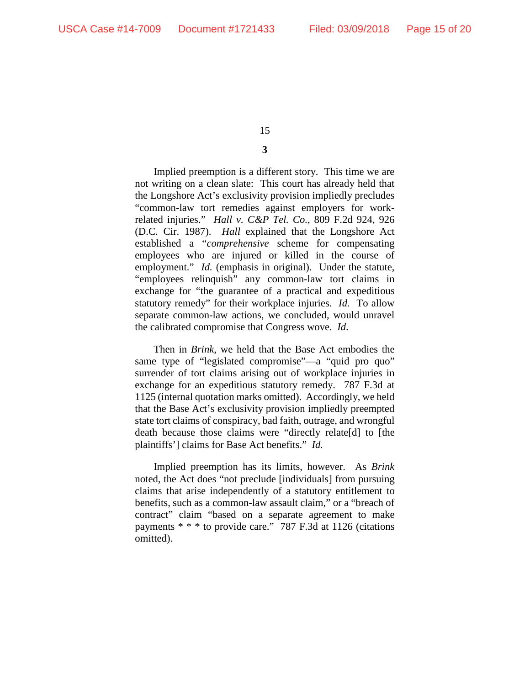# **3**

Implied preemption is a different story. This time we are not writing on a clean slate: This court has already held that the Longshore Act's exclusivity provision impliedly precludes "common-law tort remedies against employers for workrelated injuries." *Hall v. C&P Tel. Co.*, 809 F.2d 924, 926 (D.C. Cir. 1987). *Hall* explained that the Longshore Act established a "*comprehensive* scheme for compensating employees who are injured or killed in the course of employment." *Id.* (emphasis in original). Under the statute, "employees relinquish" any common-law tort claims in exchange for "the guarantee of a practical and expeditious statutory remedy" for their workplace injuries. *Id.* To allow separate common-law actions, we concluded, would unravel the calibrated compromise that Congress wove. *Id.*

Then in *Brink*, we held that the Base Act embodies the same type of "legislated compromise"—a "quid pro quo" surrender of tort claims arising out of workplace injuries in exchange for an expeditious statutory remedy. 787 F.3d at 1125 (internal quotation marks omitted). Accordingly, we held that the Base Act's exclusivity provision impliedly preempted state tort claims of conspiracy, bad faith, outrage, and wrongful death because those claims were "directly relate[d] to [the plaintiffs'] claims for Base Act benefits." *Id.* 

Implied preemption has its limits, however. As *Brink* noted, the Act does "not preclude [individuals] from pursuing claims that arise independently of a statutory entitlement to benefits, such as a common-law assault claim," or a "breach of contract" claim "based on a separate agreement to make payments \* \* \* to provide care." 787 F.3d at 1126 (citations omitted).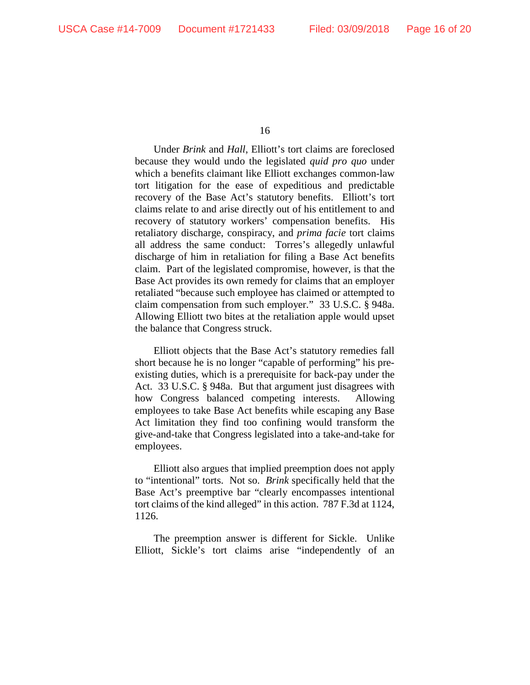Under *Brink* and *Hall*, Elliott's tort claims are foreclosed because they would undo the legislated *quid pro quo* under which a benefits claimant like Elliott exchanges common-law tort litigation for the ease of expeditious and predictable recovery of the Base Act's statutory benefits. Elliott's tort claims relate to and arise directly out of his entitlement to and recovery of statutory workers' compensation benefits. His retaliatory discharge, conspiracy, and *prima facie* tort claims all address the same conduct: Torres's allegedly unlawful discharge of him in retaliation for filing a Base Act benefits claim. Part of the legislated compromise, however, is that the Base Act provides its own remedy for claims that an employer retaliated "because such employee has claimed or attempted to claim compensation from such employer." 33 U.S.C. § 948a. Allowing Elliott two bites at the retaliation apple would upset the balance that Congress struck.

Elliott objects that the Base Act's statutory remedies fall short because he is no longer "capable of performing" his preexisting duties, which is a prerequisite for back-pay under the Act. 33 U.S.C. § 948a. But that argument just disagrees with how Congress balanced competing interests. Allowing employees to take Base Act benefits while escaping any Base Act limitation they find too confining would transform the give-and-take that Congress legislated into a take-and-take for employees.

Elliott also argues that implied preemption does not apply to "intentional" torts. Not so. *Brink* specifically held that the Base Act's preemptive bar "clearly encompasses intentional tort claims of the kind alleged" in this action. 787 F.3d at 1124, 1126.

The preemption answer is different for Sickle. Unlike Elliott, Sickle's tort claims arise "independently of an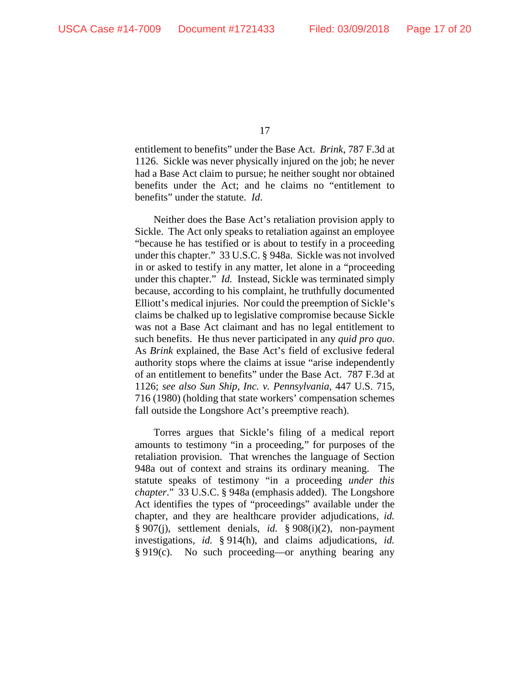entitlement to benefits" under the Base Act. *Brink*, 787 F.3d at 1126. Sickle was never physically injured on the job; he never had a Base Act claim to pursue; he neither sought nor obtained benefits under the Act; and he claims no "entitlement to benefits" under the statute. *Id*.

Neither does the Base Act's retaliation provision apply to Sickle. The Act only speaks to retaliation against an employee "because he has testified or is about to testify in a proceeding under this chapter." 33 U.S.C. § 948a. Sickle was not involved in or asked to testify in any matter, let alone in a "proceeding under this chapter." *Id.* Instead, Sickle was terminated simply because, according to his complaint, he truthfully documented Elliott's medical injuries. Nor could the preemption of Sickle's claims be chalked up to legislative compromise because Sickle was not a Base Act claimant and has no legal entitlement to such benefits. He thus never participated in any *quid pro quo*. As *Brink* explained, the Base Act's field of exclusive federal authority stops where the claims at issue "arise independently of an entitlement to benefits" under the Base Act. 787 F.3d at 1126; *see also Sun Ship, Inc. v. Pennsylvania*, 447 U.S. 715, 716 (1980) (holding that state workers' compensation schemes fall outside the Longshore Act's preemptive reach).

Torres argues that Sickle's filing of a medical report amounts to testimony "in a proceeding," for purposes of the retaliation provision. That wrenches the language of Section 948a out of context and strains its ordinary meaning. The statute speaks of testimony "in a proceeding *under this chapter*." 33 U.S.C. § 948a (emphasis added). The Longshore Act identifies the types of "proceedings" available under the chapter, and they are healthcare provider adjudications, *id.* § 907(j), settlement denials, *id.* § 908(i)(2), non-payment investigations, *id.* § 914(h), and claims adjudications, *id.* § 919(c). No such proceeding—or anything bearing any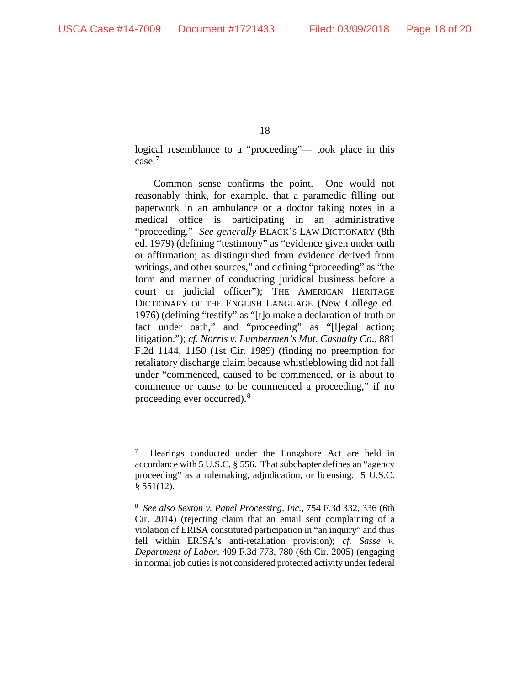logical resemblance to a "proceeding"— took place in this case.[7](#page-17-0)

Common sense confirms the point. One would not reasonably think, for example, that a paramedic filling out paperwork in an ambulance or a doctor taking notes in a medical office is participating in an administrative "proceeding." *See generally* BLACK'S LAW DICTIONARY (8th ed. 1979) (defining "testimony" as "evidence given under oath or affirmation; as distinguished from evidence derived from writings, and other sources," and defining "proceeding" as "the form and manner of conducting juridical business before a court or judicial officer"); THE AMERICAN HERITAGE DICTIONARY OF THE ENGLISH LANGUAGE (New College ed. 1976) (defining "testify" as "[t]o make a declaration of truth or fact under oath," and "proceeding" as "[l]egal action; litigation."); *cf. Norris v. Lumbermen's Mut. Casualty Co*., 881 F.2d 1144, 1150 (1st Cir. 1989) (finding no preemption for retaliatory discharge claim because whistleblowing did not fall under "commenced, caused to be commenced, or is about to commence or cause to be commenced a proceeding," if no proceeding ever occurred).<sup>[8](#page-17-1)</sup>

<span id="page-17-0"></span> <sup>7</sup> Hearings conducted under the Longshore Act are held in accordance with 5 U.S.C. § 556. That subchapter defines an "agency proceeding" as a rulemaking, adjudication, or licensing. 5 U.S.C.  $§ 551(12).$ 

<span id="page-17-1"></span><sup>8</sup> *See also Sexton v. Panel Processing, Inc.*, 754 F.3d 332, 336 (6th Cir. 2014) (rejecting claim that an email sent complaining of a violation of ERISA constituted participation in "an inquiry" and thus fell within ERISA's anti-retaliation provision); *cf. Sasse v. Department of Labor*, 409 F.3d 773, 780 (6th Cir. 2005) (engaging in normal job duties is not considered protected activity under federal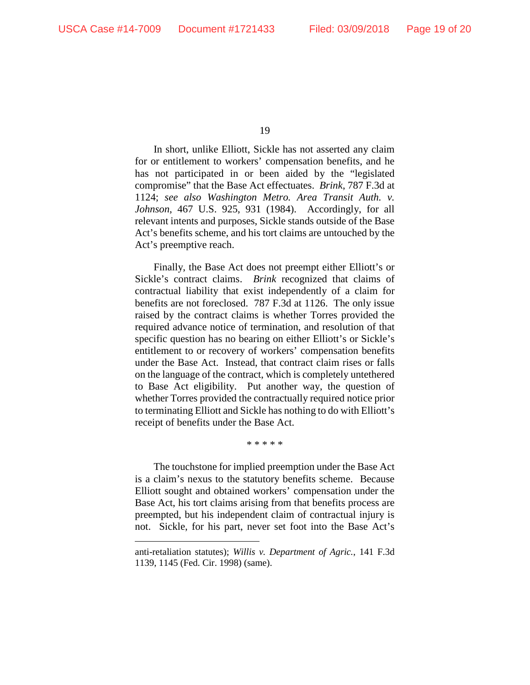$\overline{a}$ 

19

In short, unlike Elliott, Sickle has not asserted any claim for or entitlement to workers' compensation benefits, and he has not participated in or been aided by the "legislated compromise" that the Base Act effectuates. *Brink*, 787 F.3d at 1124; *see also Washington Metro. Area Transit Auth. v. Johnson*, 467 U.S. 925, 931 (1984). Accordingly, for all relevant intents and purposes, Sickle stands outside of the Base Act's benefits scheme, and his tort claims are untouched by the Act's preemptive reach.

Finally, the Base Act does not preempt either Elliott's or Sickle's contract claims. *Brink* recognized that claims of contractual liability that exist independently of a claim for benefits are not foreclosed. 787 F.3d at 1126. The only issue raised by the contract claims is whether Torres provided the required advance notice of termination, and resolution of that specific question has no bearing on either Elliott's or Sickle's entitlement to or recovery of workers' compensation benefits under the Base Act. Instead, that contract claim rises or falls on the language of the contract, which is completely untethered to Base Act eligibility. Put another way, the question of whether Torres provided the contractually required notice prior to terminating Elliott and Sickle has nothing to do with Elliott's receipt of benefits under the Base Act.

\* \* \* \* \*

The touchstone for implied preemption under the Base Act is a claim's nexus to the statutory benefits scheme. Because Elliott sought and obtained workers' compensation under the Base Act, his tort claims arising from that benefits process are preempted, but his independent claim of contractual injury is not. Sickle, for his part, never set foot into the Base Act's

anti-retaliation statutes); *Willis v. Department of Agric.*, 141 F.3d 1139, 1145 (Fed. Cir. 1998) (same).